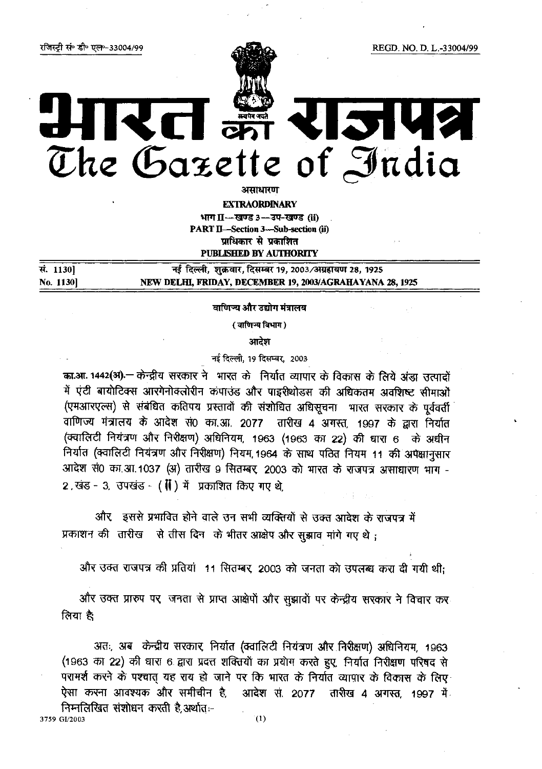रजिस्ट्री सं॰ डी॰ एल॰-33004/99

# Kd? 12142 V. समये जयते<br>अन्य प्रेम The Gazette of India

असाधारण

**EXTRAORDINARY** भाग II-खण्ड 3- उप-खण्ड (ii) **PART II-Section 3-Sub-section (ii)** प्राधिकार से प्रकाशित **PUBLISHED BY AUTHORITY** 

नई दिल्ली, शुक्रवार, दिसम्बर 19, 2003/अग्रहायण 28, 1925 सं. 11301 No. 1130] NEW DELHI, FRIDAY, DECEMBER 19, 2003/AGRAHAYANA 28, 1925

वाणिज्य और उद्योग मंत्रालय

(वाणिन्य विभाग)

आदेश

नई दिल्ली, 19 दिसम्बर, 2003

का.आ. 1442(अ) - केन्द्रीय सरकार ने भारत के निर्यात व्यापार के विकास के लिये अंडा उत्पादों में एंटी बायोटिक्स आरंगेनोक्लोरीन कंपाउंड और पाइरीथोडस की अधिकतम अवशिष्ट सीमाओं (एमआरएल्स) से संबंधित कतिपय प्रस्तावों की संशोधित अधिसूचना भारत सरकार के पूर्ववर्ती वाणिज्य मंत्रालय के आदेश सं0 का.आ. 2077 तारीख 4 अगस्त, 1997 के द्वारा निर्यात (क्वालिटी नियंत्रण और निरीक्षण) अधिनियम, 1963 (1963 का 22) की धारा 6 के अधीन निर्यात (क्वालिटी नियंत्रण और निरीक्षण) नियम, 1964 के साथ पठित नियम 11 की अपेक्षानसार आदेश सं0 का.आ.1037 (अ) तारीख 9 सितम्बर 2003 को भारत के राजपत्र असाधारण भाग -2, खंड - 3, उपखंड - ( () में प्रकाशित किए गए थे.

और इससे प्रभावित होने वाले उन सभी व्यक्तियों से उक्त आदेश के राजपत्र में प्रकाशन की तारीख से तीस दिन के भीतर आक्षेप और सूझाव मांगे गए थे;

और उक्त राजपत्र की प्रतियां 11 सितम्बर, 2003 को जनता को उपलब्ध करा दी गयी थी:

और उक्त प्रारुप पर जनता से प्राप्त आक्षेपों और सुझावों पर केन्द्रीय सरकार ने विचार कर लिया है:

अतः, अब केन्द्रीय सरकार, निर्यात (क्वालिटी नियंत्रण और निरीक्षण) अधिनियम, 1963 (1963 का 22) की धारा 6 द्वारा प्रदत्त शक्तियों का प्रयोग करते हुए, निर्यात निरीक्षण परिषद से परामर्श करने के पश्चात यह राय हो जाने पर कि भारत के निर्यात व्यापार के विकास के लिए आदेश से 2077 तारीख 4 अगस्त, 1997 में ऐसा करना आवश्यक और समीचीन है. निम्नलिखित संशोधन करती है.अर्थातः-

3759 GI/2003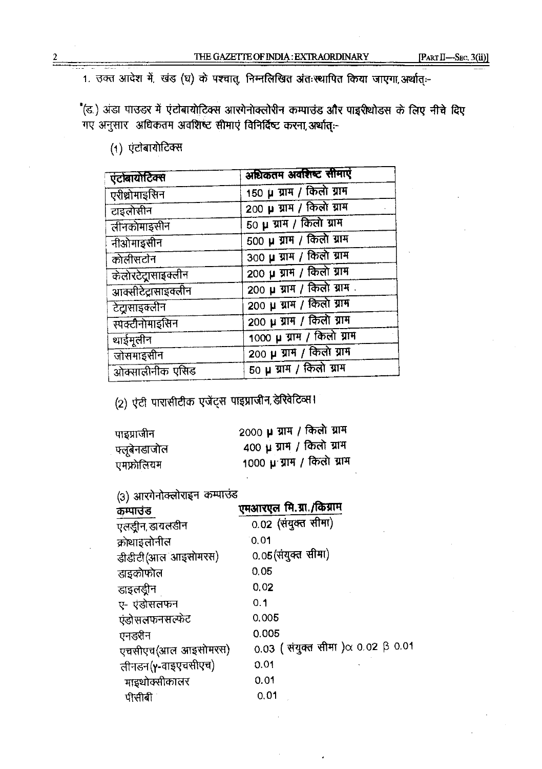1. उक्त आदेश में, खंड (घ) के पश्चात्, निम्नलिखित अंतःस्थापित किया जाएगा, अर्थात् :-

"(ड.) अंडा पाउडर में एंटोबायोटिक्स आरंगेनोक्लोरीन कम्पाउंड और पाइरीथोडस के लिए नीचे दिए गए अनुसार अधिकतम अवशिष्ट सीमाएं विनिर्दिष्ट करना, अर्थात् :-

(1) एंटोबायोटिक्स

| एंटोबायोटिक्स       | अधिकतम अवशिष्ट सीमाएं        |
|---------------------|------------------------------|
| एरीथ्रोमाइसिन       | 150 µ ग्राम / किलो ग्राम     |
| टाइलोसीन            | 200 µ ग्राम / किलो ग्राम     |
| तीनकोमाइसीन         | $50 \mu$ ग्राम / किलो ग्राम  |
| नीओमाइसीन           | $500 \mu$ ग्राम / किलो ग्राम |
| कोलीसटोन            | 300 µ ग्राम / किलो ग्राम     |
| केलोरटेटासाइक्लीन   | 200 µ ग्राम / किलो ग्राम     |
| आक्सीटेट्रासाइक्लीन | 200 µ ग्राम / किलो ग्राम.    |
| टेट्रासाइक्लीन      | 200 µ ग्राम / किलो ग्राम     |
| स्पक्टीनोमाइसिन     | $200 \mu$ ग्राम / किलो ग्राम |
| थाईमुलीन            | 1000 µ ग्राम / किलो ग्राम    |
| जोसमाइसीन           | 200 µ ग्राम / किलो ग्राम     |
| ओक्सालीनीक एसिड     | $50 \mu$ ग्राम / किलो ग्राम  |

(2) एंटी पारासीटीक एजेंट्स पाइप्राजीन, डेरिवेटिव्स।

| पाइप्राजीन    | 2000 µ ग्राम / किलो ग्राम |
|---------------|---------------------------|
| ्फ्लूबेनडाजोल | 400 µ ग्राम / किलो ग्राम  |
| एमफ्रोलियम    | 1000 µ ग्राम / किलो ग्राम |

(3) आरगेनोक्लोराइन कम्पाउंड

| $\mathbf{w}_i$ and $\mathbf{w}_i$ is the state $\mathbf{w}_i$<br>कम्पाउंड | एमआरएल मि.ग्रा./किग्राम                  |  |
|---------------------------------------------------------------------------|------------------------------------------|--|
| एलड्रीन, डायलडीन                                                          | 0.02 (संयुक्त सीमा)                      |  |
| क्रोथाइतोनील                                                              | 0.01                                     |  |
| डीडीटी (आल आइसोमरस)                                                       | 0.05(संयुक्त सीमा)                       |  |
| डाइकोफोल                                                                  | 0.05                                     |  |
| डाइलडीन                                                                   | 0.02                                     |  |
| ए- एंडोसलफन                                                               | 0.1                                      |  |
| एंडोसलफनसत्फेट                                                            | 0,005                                    |  |
| एनडरीन                                                                    | 0.005                                    |  |
| एचसीएच(आल आइसोमरस)                                                        | 0.03 (संयुक्त सीमा) $\alpha$ 0.02 β 0.01 |  |
| तीनडन(γ-वाइएचसीएच)                                                        | 0.01                                     |  |
| माइथोक्सीकालर                                                             | 0.01                                     |  |
| पीसीबी                                                                    | 0.01                                     |  |

 $\overline{2}$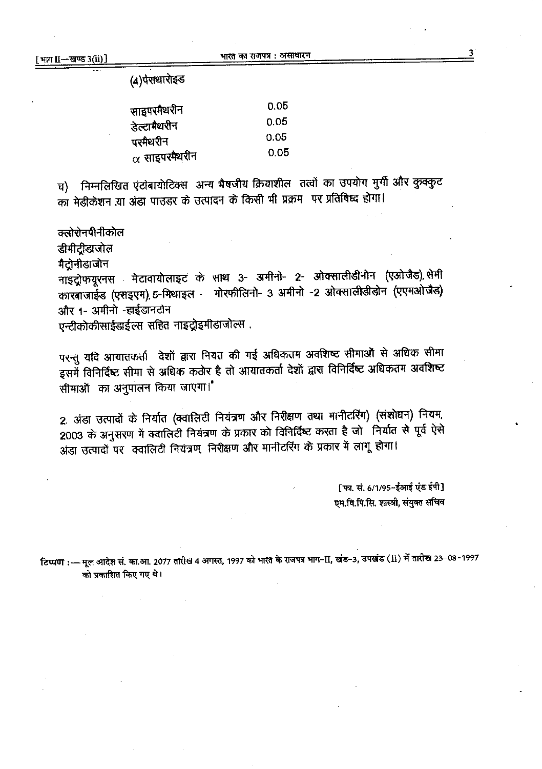(4)पेराधारोइड

| साइपरमैथरीन          | 0.05 |
|----------------------|------|
| डेल्टामैथरीन         | 0.05 |
| परमैथरीन             | 0.05 |
| $\alpha$ साइपरमैथरीन | 0.05 |

च) निम्नलिखित एंटोबायोटिक्स अन्य भैषजीय क्रियाशील तत्वों का उपयोग मुर्गी और कुक्कुट का मेडीकेशन या अंडा पाउडर के उत्पादन के किसी भी प्रक्रम पर प्रतिषिध्द होगा।

क्तोरोनपीनीकोल

डीमीट्रीडाजोल

मैटोनीडाजोन

मेटावायोलाइट के साथ 3- अमीनो- 2- ओक्सालीडीनोन (एओजैड),सेमी नाइट्रोफयूरनस कारबाजाईड (एसइएम) 5-मिथाइल - मोरफीलिनो- 3 अमीनो -2 ओक्सालीडीडोन (एएमओजैड) और 1- अमीनो -हाईडानटोन

एन्टीकोकीसाईडाईल्स सहित नाइट्रोइमीडाजोल्स .

परन्तु यदि आयातकर्ता देशों द्वारा नियत की गई अधिकतम अवशिष्ट सीमाओं से अधिक सीमा इसमें विनिर्दिष्ट सीमा से अधिक कठोर है तो आयातकर्ता देशों द्वारा विनिर्दिष्ट अधिकतम अवशिष्ट सीमाओं का अनुपालन किया जाएगा।

2. अंडा उत्पादों के निर्यात (क्वालिटी नियंत्रण और निरीक्षण तथा मानीटरिंग) (संशोधन) नियम, 2003 के अनुसरण में क्वालिटी नियंत्रण के प्रकार को विनिर्दिष्ट करता है जो निर्यात से पूर्व ऐसे अंडा उत्पादों पर क्वालिटी नियंत्रण निरीक्षण और मानीटरिंग के प्रकार में लागू होगा।

> [फा. सं. 6/1/95-ईआई एंड ईपी] एम.वि.पि.सि. शास्त्री, संयुक्त सचिव

टिप्पण : — मूल आदेश सं. का.आ. 2077 तारीख 4 अगस्त, 1997 को भारत के राजपत्र भाग-II, खंड-3, उपखंड (ii) में तारीख 23-08-1997 को प्रकाशित किए गए थे।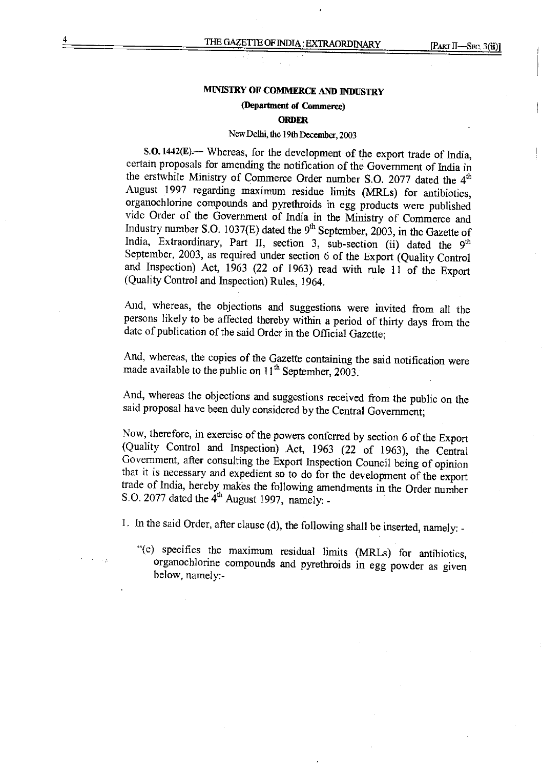# MINISTRY OF COMMERCE AND INDUSTRY

#### (Depanment of Commerce)

#### ORDER

# New Delhi, the 19th December, <sup>2003</sup>

 $S.O. 1442(E)$ . Whereas, for the development of the export trade of India, certain proposals for amending the notification of the Government of India in the erstwhile Ministry of Commerce Order number S.O. 2077 dated the 4<sup>th</sup> August 1997 regarding maximum residue limits (MRLs) for antibiotics, organochlorine compounds and pyrethroids in egg products were published vide Order of the Government of India in the Ministry of Commerce and Industry number S.O. 1037(E) dated the  $9<sup>th</sup>$  September, 2003, in the Gazette of India, Extraordinary, Part II, section 3, sub-section (ii) dated the 9<sup>th</sup> September, 2003, as required under section <sup>6</sup> of the Export (Quality Control and Inspection) Act, <sup>1963</sup> (22 of 1963) read with rule <sup>11</sup> of the Export (Quality Control and Inspection) Rules, 1964.

And, whereas, the objections and suggestions were invited from all the persons likely to be affected thereby within <sup>a</sup> period of thirty days from the date of publication of the said Order in the Official Gazette;

And, whereas, the copies of the Gazette containing the said notification were made available to the public on  $11<sup>th</sup>$  September, 2003.

And, whereas the objections and suggestions received from the public on the said proposal have been duly considered by the Central Government;

Now, therefore, in exercise of the powers conferred by section 6 of the Export (Quality Control and Inspection) Act, 1963 (22 of 1963), the Central Government, after consulting the Export Inspection Council being of opinio that it is necessary and expedient so to do for the development of the export<br>trade of India, hereby makes the following amendments in the Order number S.O. 2077 dated the  $4<sup>th</sup>$  August 1997, namely: -

I. In the said Order, after clause (d), the following shall be inserted, namely: -

"(e) specifies the maximum residual limits (MRLs) for antibiotics, organochlorine compounds and pyrethroids in egg powder as given below, namely:-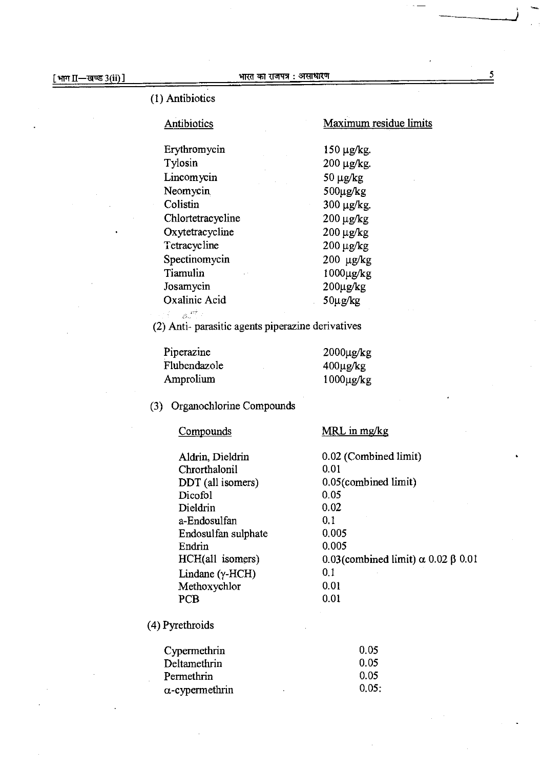#### भारत का राजपत्र : असाधारण

(I) Antibiotics

### Antibiotics

# Maximum residue limits

MRLinmg/kg

limit)  $\alpha$  0.02  $\beta$  0.01

Erythromycin 150 µg/kg. Tylosin 200 µg/kg. Lincomycin 50 µg/kg Neomycin 500µg/kg 300 µg/kg. **Colistin** 200 µg/kg Chlortetracycline 200 µg/kg Oxytetracycline 200 µg/kg Tetracycline Spectinomycin 200 µg/kg Tiamulin IOOOµg/kg 200µg/kg Josamycin Oxalinic Acid 50µg/kg  $\mathbb{R}^{4m}$ 

(2) Anti- parasitic agents piperazine derivatives

| Piperazine   | $2000 \mu g/kg$ |
|--------------|-----------------|
| Flubendazole | $400 \mu g/kg$  |
| Amprolium    | $1000 \mu g/kg$ |

(3) Organochlorine Compounds

| 0.02 (Combined limit)<br>Aldrin, Dieldrin<br>0.01<br>Chrorthalonil<br>$0.05$ (combined limit)<br>DDT (all isomers)<br>0.05<br>Dicofol<br>0.02<br>Dieldrin<br>0.1<br>a-Endosulfan<br>0.005<br>Endosulfan sulphate<br>0.005<br>Endrin<br>HCH(all isomers)<br>0.03(combined limit) o<br>01<br>Lindane $(\gamma$ -HCH)<br>0.01<br>Methoxychlor<br>0.01<br>PCB | Compounds | MRL in mg/kg |
|-----------------------------------------------------------------------------------------------------------------------------------------------------------------------------------------------------------------------------------------------------------------------------------------------------------------------------------------------------------|-----------|--------------|
|                                                                                                                                                                                                                                                                                                                                                           |           |              |
|                                                                                                                                                                                                                                                                                                                                                           |           |              |
|                                                                                                                                                                                                                                                                                                                                                           |           |              |
|                                                                                                                                                                                                                                                                                                                                                           |           |              |
|                                                                                                                                                                                                                                                                                                                                                           |           |              |
|                                                                                                                                                                                                                                                                                                                                                           |           |              |
|                                                                                                                                                                                                                                                                                                                                                           |           |              |
|                                                                                                                                                                                                                                                                                                                                                           |           |              |
|                                                                                                                                                                                                                                                                                                                                                           |           |              |
|                                                                                                                                                                                                                                                                                                                                                           |           |              |
|                                                                                                                                                                                                                                                                                                                                                           |           |              |
|                                                                                                                                                                                                                                                                                                                                                           |           |              |

(4) Pyrethroids

| Cypermethrin           | 0.05  |
|------------------------|-------|
| Deltamethrin           | 0.05  |
| Permethrin             | 0.05  |
| $\alpha$ -cypermethrin | 0.05: |

5

-